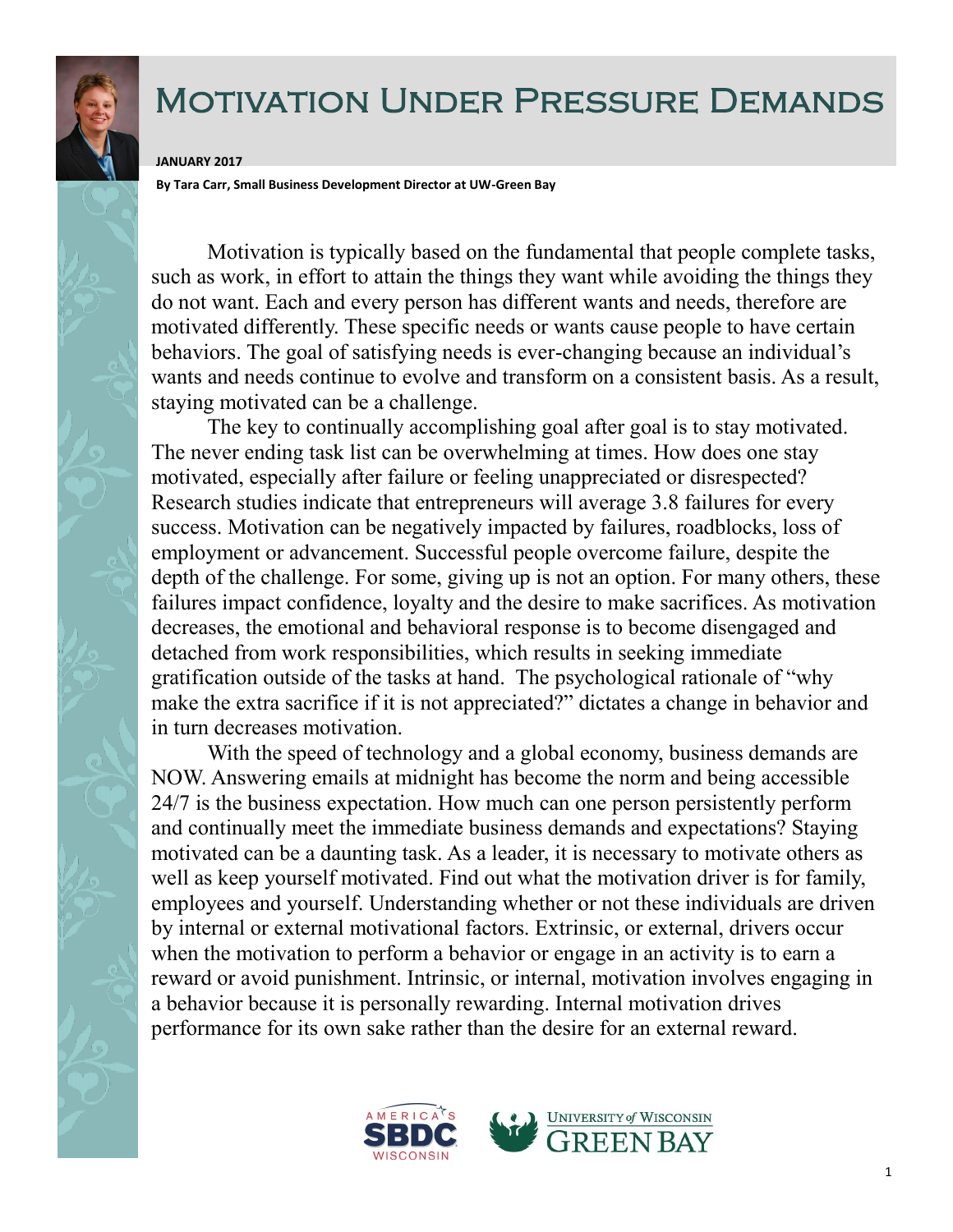

## Motivation Under Pressure Demands

## **JANUARY 2017**

**By Tara Carr, Small Business Development Director at UW-Green Bay**

Motivation is typically based on the fundamental that people complete tasks, such as work, in effort to attain the things they want while avoiding the things they do not want. Each and every person has different wants and needs, therefore are motivated differently. These specific needs or wants cause people to have certain behaviors. The goal of satisfying needs is ever-changing because an individual's wants and needs continue to evolve and transform on a consistent basis. As a result, staying motivated can be a challenge.

The key to continually accomplishing goal after goal is to stay motivated. The never ending task list can be overwhelming at times. How does one stay motivated, especially after failure or feeling unappreciated or disrespected? Research studies indicate that entrepreneurs will average 3.8 failures for every success. Motivation can be negatively impacted by failures, roadblocks, loss of employment or advancement. Successful people overcome failure, despite the depth of the challenge. For some, giving up is not an option. For many others, these failures impact confidence, loyalty and the desire to make sacrifices. As motivation decreases, the emotional and behavioral response is to become disengaged and detached from work responsibilities, which results in seeking immediate gratification outside of the tasks at hand. The psychological rationale of "why make the extra sacrifice if it is not appreciated?" dictates a change in behavior and in turn decreases motivation.

With the speed of technology and a global economy, business demands are NOW. Answering emails at midnight has become the norm and being accessible 24/7 is the business expectation. How much can one person persistently perform and continually meet the immediate business demands and expectations? Staying motivated can be a daunting task. As a leader, it is necessary to motivate others as well as keep yourself motivated. Find out what the motivation driver is for family, employees and yourself. Understanding whether or not these individuals are driven by internal or external motivational factors. Extrinsic, or external, drivers occur when the motivation to perform a behavior or engage in an activity is to earn a reward or avoid punishment. Intrinsic, or internal, motivation involves engaging in a behavior because it is personally rewarding. Internal motivation drives performance for its own sake rather than the desire for an external reward.